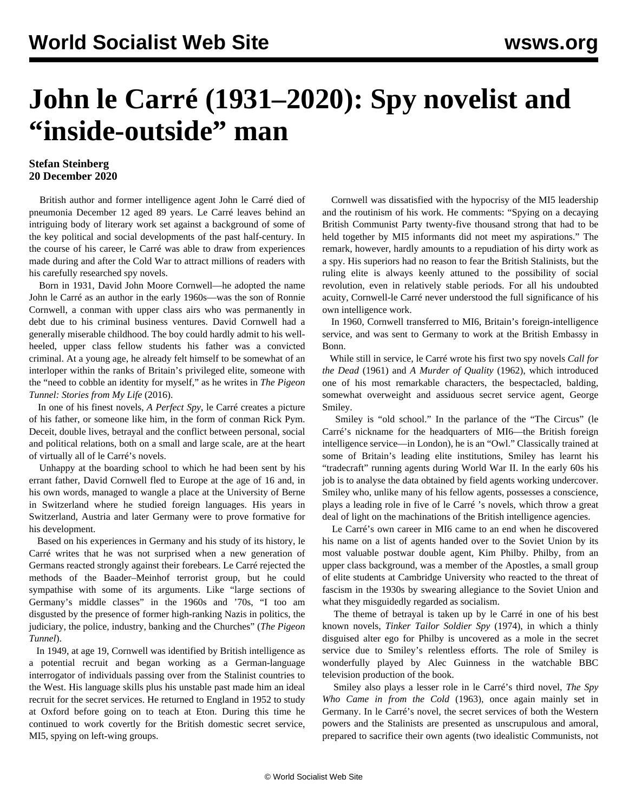## **John le Carré (1931–2020): Spy novelist and "inside-outside" man**

## **Stefan Steinberg 20 December 2020**

 British author and former intelligence agent John le Carré died of pneumonia December 12 aged 89 years. Le Carré leaves behind an intriguing body of literary work set against a background of some of the key political and social developments of the past half-century. In the course of his career, le Carré was able to draw from experiences made during and after the Cold War to attract millions of readers with his carefully researched spy novels.

 Born in 1931, David John Moore Cornwell—he adopted the name John le Carré as an author in the early 1960s—was the son of Ronnie Cornwell, a conman with upper class airs who was permanently in debt due to his criminal business ventures. David Cornwell had a generally miserable childhood. The boy could hardly admit to his wellheeled, upper class fellow students his father was a convicted criminal. At a young age, he already felt himself to be somewhat of an interloper within the ranks of Britain's privileged elite, someone with the "need to cobble an identity for myself," as he writes in *The Pigeon Tunnel: Stories from My Life* (2016).

 In one of his finest novels, *A Perfect Spy*, le Carré creates a picture of his father, or someone like him, in the form of conman Rick Pym. Deceit, double lives, betrayal and the conflict between personal, social and political relations, both on a small and large scale, are at the heart of virtually all of le Carré's novels.

 Unhappy at the boarding school to which he had been sent by his errant father, David Cornwell fled to Europe at the age of 16 and, in his own words, managed to wangle a place at the University of Berne in Switzerland where he studied foreign languages. His years in Switzerland, Austria and later Germany were to prove formative for his development.

 Based on his experiences in Germany and his study of its history, le Carré writes that he was not surprised when a new generation of Germans reacted strongly against their forebears. Le Carré rejected the methods of the Baader–Meinhof terrorist group, but he could sympathise with some of its arguments. Like "large sections of Germany's middle classes" in the 1960s and '70s, "I too am disgusted by the presence of former high-ranking Nazis in politics, the judiciary, the police, industry, banking and the Churches" (*The Pigeon Tunnel*).

 In 1949, at age 19, Cornwell was identified by British intelligence as a potential recruit and began working as a German-language interrogator of individuals passing over from the Stalinist countries to the West. His language skills plus his unstable past made him an ideal recruit for the secret services. He returned to England in 1952 to study at Oxford before going on to teach at Eton. During this time he continued to work covertly for the British domestic secret service, MI5, spying on left-wing groups.

 Cornwell was dissatisfied with the hypocrisy of the MI5 leadership and the routinism of his work. He comments: "Spying on a decaying British Communist Party twenty-five thousand strong that had to be held together by MI5 informants did not meet my aspirations." The remark, however, hardly amounts to a repudiation of his dirty work as a spy. His superiors had no reason to fear the British Stalinists, but the ruling elite is always keenly attuned to the possibility of social revolution, even in relatively stable periods. For all his undoubted acuity, Cornwell-le Carré never understood the full significance of his own intelligence work.

 In 1960, Cornwell transferred to MI6, Britain's foreign-intelligence service, and was sent to Germany to work at the British Embassy in Bonn.

 While still in service, le Carré wrote his first two spy novels *Call for the Dead* (1961) and *A Murder of Quality* (1962), which introduced one of his most remarkable characters, the bespectacled, balding, somewhat overweight and assiduous secret service agent, George Smiley.

 Smiley is "old school." In the parlance of the "The Circus" (le Carré's nickname for the headquarters of MI6—the British foreign intelligence service—in London), he is an "Owl." Classically trained at some of Britain's leading elite institutions, Smiley has learnt his "tradecraft" running agents during World War II. In the early 60s his job is to analyse the data obtained by field agents working undercover. Smiley who, unlike many of his fellow agents, possesses a conscience, plays a leading role in five of le Carré 's novels, which throw a great deal of light on the machinations of the British intelligence agencies.

 Le Carré's own career in MI6 came to an end when he discovered his name on a list of agents handed over to the Soviet Union by its most valuable postwar double agent, Kim Philby. Philby, from an upper class background, was a member of the Apostles, a small group of elite students at Cambridge University who reacted to the threat of fascism in the 1930s by swearing allegiance to the Soviet Union and what they misguidedly regarded as socialism.

 The theme of betrayal is taken up by le Carré in one of his best known novels, *Tinker Tailor Soldier Spy* (1974), in which a thinly disguised alter ego for Philby is uncovered as a mole in the secret service due to Smiley's relentless efforts. The role of Smiley is wonderfully played by Alec Guinness in the watchable BBC television production of the book.

 Smiley also plays a lesser role in le Carré's third novel, *The Spy Who Came in from the Cold* (1963), once again mainly set in Germany. In le Carré's novel, the secret services of both the Western powers and the Stalinists are presented as unscrupulous and amoral, prepared to sacrifice their own agents (two idealistic Communists, not